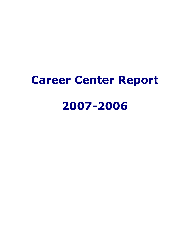# Career Center Report 2007-2006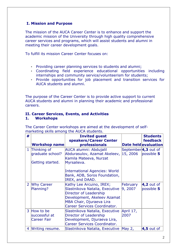#### I. Mission and Purpose

The mission of the AUCA Career Center is to enhance and support the academic mission of the University through high quality comprehensive career services and programs, which will assist students and alumni in meeting their career development goals.

To fulfill its mission Career Center focuses on:

- Providing career planning services to students and alumni;
- Coordinating field experience educational opportunities including internships and community service/volunteerism for students;
- Provide opportunities for job placement and transition services for AUCA students and alumni.

The purpose of the Career Center is to provide active support to current AUCA students and alumni in planning their academic and professional careers.

## II. Career Services, Events, and Activities

#### 1. Workshops

The Career Center workshops are aimed at the development of selfmarketing skills among the AUCA students.

| # |                                                       | <b>Invited guest</b><br>speakers/Career Center                                                                                                                                         |                                 | <b>Students</b><br><b>feedback</b>        |
|---|-------------------------------------------------------|----------------------------------------------------------------------------------------------------------------------------------------------------------------------------------------|---------------------------------|-------------------------------------------|
|   | <b>Workshop name</b>                                  | professionals                                                                                                                                                                          |                                 | Date held evaluation                      |
|   | 1 Thinking of<br>graduate school?<br>Getting started. | AUCA alumni: Abdujalil<br>Abdurasulov, Azamat Akeleev, 15, 2006<br>Kamila Mateeva, Nurzat<br>Myrsalieva.                                                                               | September <sup>4,3</sup> out of | possible 5                                |
|   |                                                       | <b>International Agencies: World</b><br>Bank, ADB, Soros Foundation,<br>IREX, and DAAD.                                                                                                |                                 |                                           |
|   | 2 Why Career<br>Planning?                             | Kathy Lee Arcuino, IREX;<br>Slastnikova Natalia, Executive<br>Director of Leadership<br>Development, Akeleev Azamat<br>MBA Chair, Djuraeva Lira<br><b>Career Services Coordinator.</b> | February<br> 9, 2007            | $\boldsymbol{4,2}$ out of<br>possible $5$ |
|   | 3 How to be<br>successful at<br>Career Fair           | Slastnikova Natalia, Executive<br>Director of Leadership<br>Development, Djuraeva Lira,<br><b>Career Services Coordinator.</b>                                                         | April 17,<br>2007               |                                           |
|   | 4 Writing resume.                                     | Slastnikova Natalia, Executive                                                                                                                                                         | May 2,                          | $\boldsymbol{4.5}$ out of                 |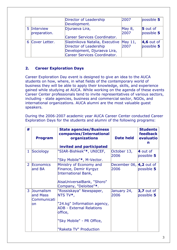|                             | Director of Leadership<br>Development.                                                                                  | 2007               | possible $5$                        |
|-----------------------------|-------------------------------------------------------------------------------------------------------------------------|--------------------|-------------------------------------|
| 5 Interview<br>preparation. | Djuraeva Lira,<br>Career Services Coordinator.                                                                          | May 8,<br>2007     | $5$ out of<br>possible 5            |
| 6 Cover Letter.             | Slastnikova Natalia, Executive<br>Director of Leadership<br>Development, Djuraeva Lira,<br>Career Services Coordinator. | May $11$ ,<br>2007 | $\vert 4, 6$ out of<br>possible $5$ |

#### 2. Career Exploration Days

Career Exploration Day event is designed to give an idea to the AUCA students on how, where, in what fields of the contemporary world of business they will be able to apply their knowledge, skills, and experience gained while studying at AUCA. While working on the agenda of these events Career Center professionals tend to invite representatives of various sectors, including - state agencies, business and commercial sector, NGOs, and international organizations. AUCA alumni are the most valuable guest speakers.

| #              |                                                     | <b>State agencies/Business</b><br>companies/International                                                                                                               |                                          | <b>Students</b><br><b>feedback</b> |
|----------------|-----------------------------------------------------|-------------------------------------------------------------------------------------------------------------------------------------------------------------------------|------------------------------------------|------------------------------------|
|                | <b>Program</b>                                      | organizations                                                                                                                                                           | <b>Date held</b>                         | evaluatio                          |
|                |                                                     | invited and participated                                                                                                                                                |                                          | n                                  |
| $\mathbf{1}$   | Sociology                                           | "SIAR-Bishkek"*, UNICEF,<br>"Sky Mobile"*, M-Vector.                                                                                                                    | October 13,<br>2006                      | $\vert$ 4 out of<br>possible 5     |
| $\overline{2}$ | Economics<br>and BA                                 | Ministry of Economy and<br>Finance, Demir Kyrgyz<br><b>International Bank,</b><br>AisaUniversalBank, "Shoro"<br>Company, "Deloitee"*.                                   | December 06, $\vert 4, 2$ out of<br>2006 | possible $5$                       |
| $\mathbf{3}$   | <b>Journalism</b><br>and Mass<br>Communicati<br>lon | "Rossiskaya" Newspaper,<br>NTS TV*,<br>"24.kg" Information agency,<br><b>ADB - External Relations</b><br>office,<br>"Sky Mobile" - PR Office,<br>"Raketa TV" Production | January 24,<br>2006                      | $3,7$ out of<br>possible 5         |

During the 2006-2007 academic year AUCA Career Center conducted Career Exploration Days for the students and alumni of the following programs: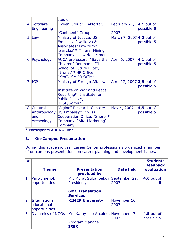|                |                                | studio.                                                                                                                                |                           |                                         |
|----------------|--------------------------------|----------------------------------------------------------------------------------------------------------------------------------------|---------------------------|-----------------------------------------|
| $\overline{4}$ | Software<br>Engineering        | "Ikeen Group", "Akforta",                                                                                                              | February 21,              | $\vert 4, 1 \vert$ out of<br>possible 5 |
|                |                                | "Continent" Group.                                                                                                                     | 2007                      |                                         |
| 5              | Law                            | Ministry of Justice, US<br>Embassy, "Kalikova &<br>Associates" Law firm*,<br>"SaryJaz"* Mineral Mining<br>Company - Law department.    | March 7, 2007 4,3 out of  | possible 5                              |
| 6              | Psychology                     | AUCA professors, "Save the<br>Children" Denmark, "The<br>School of Future Elite",<br>"Eronet"* HR Office,<br>"KenTor"* PR Office.      | April 6, 2007             | $\vert 4, 1 \vert$ out of<br>possible 5 |
| $\overline{7}$ | <b>ICP</b>                     | Ministry of Foreign Affairs,<br>Institute on War and Peace<br>Reporting*, Institute for<br>Public Policy*,<br>HESP/Soros*.             | April 27, 2007 3,9 out of | possible 5                              |
| 8              | Cultural<br>land<br>Archeology | "Aigine" Research Center*,<br>Anthropology US Embassy*, Swiss<br>Cooperation Office, "Shoro"*<br>Company, "Alfa-Marketing"<br>Company. | May 4, 2007               | 4,5 out of<br>possible 5                |

\* Participants AUCA Alumni.

## 3. On-Campus Presentation

During this academic year Career Center professionals organized a number of on-campus presentations on career planning and development issues.

| #           |                                                       |                                                                                                 |                      | <b>Students</b><br>feedback      |
|-------------|-------------------------------------------------------|-------------------------------------------------------------------------------------------------|----------------------|----------------------------------|
|             | <b>Theme</b>                                          | <b>Presentation</b><br>provided by                                                              | <b>Date held</b>     | evaluation                       |
| 1           | Part-time job<br>opportunities                        | Mr. Murat Sultanbekov, September 29,<br>President,<br><b>GMC Translation</b><br><b>Services</b> | 2007                 | $\vert$ 4,6 out of<br>possible 5 |
| $ 2\rangle$ | <b>International</b><br>leducational<br>opportunities | <b>KIMEP University</b>                                                                         | November 16,<br>2007 |                                  |
| 3           | Dynamics of NGOs                                      | Ms. Kathy Lee Arcuino, November 17,<br>Program Manager,<br><b>IREX</b>                          | 2007                 | $\vert 4,5$ out of<br>possible 5 |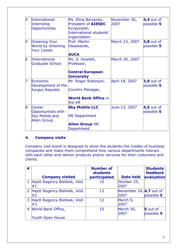| 4 | <b>International</b><br>Internship<br>Opportunities                         | Ms. Elina Borzenko,<br>President of <b>AIESEC</b><br>Kyrgyzstan,<br>International students'<br>organization | November 30,<br>2007 | $4,4$ out of<br>possible 5      |
|---|-----------------------------------------------------------------------------|-------------------------------------------------------------------------------------------------------------|----------------------|---------------------------------|
| 5 | <b>Greening Your</b><br><b>World by Greening</b><br><b>Your Career</b>      | Prof. Martin<br>Ossewarde,<br><b>AUCA</b>                                                                   | March 23, 2007       | <b>3,8</b> out of<br>possible 5 |
| 6 | <b>International</b><br>Graduate School                                     | Ms. S. Howlett,<br>Professor,<br><b>Central European</b><br><b>University</b>                               | March 30, 2007       |                                 |
| 7 | Economic<br>Development of the<br><b>Kyrgyz Republic</b>                    | Mr. Roger Robinson,<br>Country Manager,<br><b>World Bank Office in</b><br>the KR                            | April 18, 2007       | $3,9$ out of<br>possible 5      |
| 8 | Career<br>Opportunities with<br><b>Sky Mobile and</b><br><b>Aiten Group</b> | <b>Sky Mobile LLC</b><br><b>HR Department</b><br><b>Aiten Group HR</b><br>Department                        | June 13, 2007        | $4,5$ out of<br>possible 5      |

#### 4. Company visits

Company visit event is designed to show the students the insides of business companies and make them comprehend how various departments interact with each other and deliver products and/or services for their customers and clients.

| # | <b>Company visited</b>                | <b>Number of</b><br><b>students</b><br>participated | <b>Date held</b>                         | <b>Students</b><br><b>feedback</b><br>evaluation |
|---|---------------------------------------|-----------------------------------------------------|------------------------------------------|--------------------------------------------------|
|   | Haytt Regency Bishkek, Visit<br>$\#1$ | 15                                                  | October 25,<br>2007                      |                                                  |
|   | 2 Haytt Regency Bishkek, Visit<br>#2  | 13                                                  | November 24, $\vert 4, 7$ out of<br>2007 | possible 5                                       |
|   | 3 Haytt Regency Bishkek, Visit<br>#3  | 12                                                  | March 9,<br>2007                         |                                                  |
| 4 | World Bank Office,                    | 10                                                  | March 30,<br>2007                        | <b>5</b> out of<br>possible $5$                  |
|   | <b>Youth Open House</b>               |                                                     |                                          |                                                  |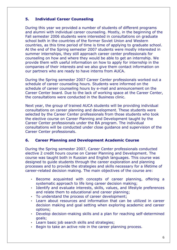## 5. Individual Career Counseling

During this year we provided a number of students of different programs and alumni with individual career counseling. Mostly, in the beginning of the Fall semester 2006 students were interested in consultations on graduate school both in the countries of the former Soviet Union and Western countries, as this time period of time is time of applying to graduate school. At the end of the Spring semester 2007 students were mostly interested in summer internships, they still approach career center professionals for counseling on how and where they would be able to get an internship. We provide them with useful information on how to apply for internship in the companies of their interests and we also give them contact information on our partners who are ready to have interns from AUCA.

During the Spring semester 2007 Career Center professionals worked out a schedule of career counseling hours. Students were informed on the schedule of career counseling hours by e-mail and announcement on the Career Center board. Due to the lack of working space at the Career Center, the consultations were conducted in the Business clinic.

Next year, the group of trained AUCA students will be providing individual consultations on career planning and development. These students were selected by the Career Center professionals from those students who took the elective course on Career Planning and Development taught by the Career Center professionals under the BA program. The individual consultations will be conducted under close guidance and supervision of the Career Center professionals.

#### 6. Career Planning and Development Academic Course

During the Spring semester 2007, Career Center professionals conducted elective 2 credit hours course on Career Planning and Development. The course was taught both in Russian and English languages. This course was designed to guide students through the career exploration and planning processes and to provide the strategies and skills necessary for a lifetime of career-related decision making. The main objectives of the course are:

- Become acquainted with concepts of career planning, offering a systematic approach to life long career decision making;
- Identify and evaluate interests, skills, values, and lifestyle preferences and relate them to educational and career planning;
- To understand the process of career development;
- Learn about resources and information that can be utilized in career decision making and goal setting when exploring academic and career options;
- Develop decision-making skills and a plan for reaching self-determined goals;
- Learn basic job search skills and strategies;
- Begin to take an active role in the career planning process.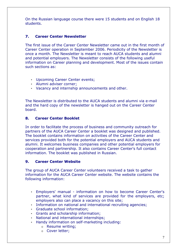On the Russian language course there were 15 students and on English 18 students.

## 7. Career Center Newsletter

The first issue of the Career Center Newsletter came out in the first month of Career Center operation in September 2006. Periodicity of the Newsletter is once a month. The Newsletter is meant to reach AUCA students and alumni and potential employers. The Newsletter consists of the following useful information on Career planning and development. Most of the issues contain such sections as:

- Upcoming Career Center events;
- Alumni adviser corner;
- Vacancy and internship announcements and other.

The Newsletter is distributed to the AUCA students and alumni via e-mail and the hard copy of the newsletter is hanged out on the Career Center board.

## 8. Career Center Booklet

In order to facilitate the process of business and community outreach for partners of the AUCA Career Center a booklet was designed and published. The booklet contains information on activities of the Career Center and services provided both for the potential employers and AUCA students and alumni. It welcomes business companies and other potential employers for cooperation and partnership. It also contains Career Center's full contact information. The booklet was published in Russian.

## 9. Career Center Website

The group of AUCA Career Center volunteers received a task to gather information for the AUCA Career Center website. The website contains the following information:

- Employers' manual information on how to become Career Center's partner, what kind of services are provided for the employers, etc; employers also can place a vacancy on this site;
- Information on national and international recruiting agencies;
- Graduate school information;
- Grants and scholarship information;
- National and international internships;
- Handy information on self-marketing including:
	- o Resume writing;
	- o Cover letter;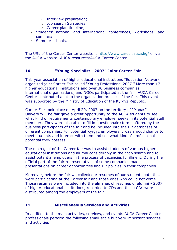- o Interview preparation;
- o Job search Strategies;
- o Career plan timeline;
- Students' national and international conferences, workshops, and seminars;
- Summer schools.

The URL of the Career Сenter website is http://www.career.auca.kg/ or via the AUCA website: AUCA resources/AUCA Career Center.

#### 10. "Young Specialist - 2007" Joint Career Fair

This year association of higher educational institutions "Education Network" organized joint Career Fair called "Young Professional 2007." More than 17 higher educational institutions and over 30 business companies, international organizations, and NGOs participated at the fair. AUCA Career Center contributed a lot to the organization process of the fair. This event was supported by the Ministry of Education of the Kyrgyz Republic.

Career Fair took place on April 20, 2007 on the territory of "Manas" University. The fair gave a great opportunity to the AUCA students to see what kind of requirements contemporary employer seeks in its potential staff members. They were also able to fill in questionnaire forms offered by the business participants of the fair and be included into the HR databases of different companies. For potential Kyrgyz employers it was a good chance to meet students and interact with them and see what kind of professional potential they possess.

The main goal of the Career fair was to assist students of various higher educational institutions and alumni considerably in their job search and to assist potential employers in the process of vacancies fulfillment. During the official part of the fair representatives of some companies made presentations on career opportunities and HR policies in their companies.

Moreover, before the fair we collected e-resumes of our students both that were participating at the Career fair and those ones who could not come. Those resumes were included into the almanac of resumes of alumni - 2007 of higher educational institutions, recorded to CDs and those CDs were distributed among the employers at the fair.

#### 11. Miscellaneous Services and Activities:

In addition to the main activities, services, and events AUCA Career Center professionals perform the following small-scale but very important services and activities: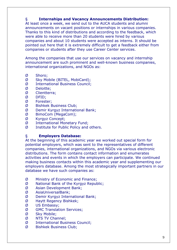## § Internships and Vacancy Announcements Distribution:

At least once a week, we send out to the AUCA students and alumni announcements on vacant positions or internships in various companies. Thanks to this kind of distributions and according to the feedback, which were able to receive more than 20 students were hired by various companies and about 10 students were accepted as interns. It should be pointed out here that it is extremely difficult to get a feedback either from companies or students after they use Career Center services.

Among the companies that use our services on vacancy and internship announcement are such prominent and well-known business companies, international organizations, and NGOs as:

- Ø Shoro;
- Ø Sky Mobile (BITEL, MobiCard);
- Ø International Business Council;
- Ø Deloitte;
- Ø Clientterra;
- Ø DFID;
- Ø Forester;
- Ø Bishkek Business Club;
- Ø Demir Kyrgyz International Bank;
- Ø BimoCom (MegaCom);
- Ø Kyrgyz Concept;
- Ø International Monetary Fund;
- Ø Institute for Public Policy and others.

#### § Employers Database:

At the beginning of this academic year we worked out special form for potential employers, which was sent to the representatives of different companies, international organizations, and NGOs via various electronic distributions. The form contains contact information and enumerates activities and events in which the employers can participate. We continued making business contacts within this academic year and supplementing our employers database. Among the most strategically important partners in our database we have such companies as:

- Ø Ministry of Economic and Finance;
- Ø National Bank of the Kyrgyz Republic;
- Ø Asian Development Bank;
- Ø AsiaUniversalBank;
- Ø Demir Kyrgyz International Bank;
- Ø Haytt Regency Bishkek;
- Ø US Embassy;
- Ø GMC Translation Services;
- Ø Sky Mobile;
- Ø NTS TV Channel;
- Ø International Business Council;
- Ø Bishkek Business Club;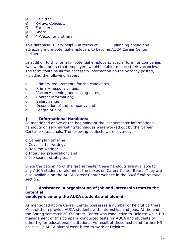- Ø Deloitte;
- Ø Kyrgyz Concept;
- Ø Forester;
- Ø Shoro;
- Ø M-Vector and others.

This database is very helpful in terms of planning ahead and attracting more potential employers to become AUCA Career Center partners.

In addition to this form for potential employers, special form for companies was worked out so that employers would be able to place their vacancies. The form contains all the necessary information on the vacancy posted, including the following issues:

- o Primary requirements for the candidates;
- o Primary responsibilities;
- o Vacancy opening and closing dates;
- o Contact information;
- o Salary range;
- o Description of the company; and
- o Length of hire.

#### § Informational Handouts:

As mentioned above at the beginning of the last semester informational handouts on self-marketing techniques were worked out by the Career Center professionals. The following subjects were covered:

- o Career plan timeline;
- o Cover letter writing;
- o Resume writing;
- o Interview preparation; and
- o Job search strategies.

Since the beginning of the last semester these handouts are available for any AUCA student or alumni at the boxes on Career Center Board. They are also available on the AUCA Career Center website in the Useful information section.

#### § Assistance in organization of job and internship tests to the potential employers among the AUCA students and alumni.

As mentioned above Career Center possesses a number of helpful partners. Most of them provide AUCA students with internships and jobs. At the end of the Spring semester 2007 Career Center was conductive to Deloitte while HR management of this company conducted tests for AUCA and students of other higher educational institutions. As result of those tests and further HR policies 12 AUCA alumni were hired to work at Deloitte.